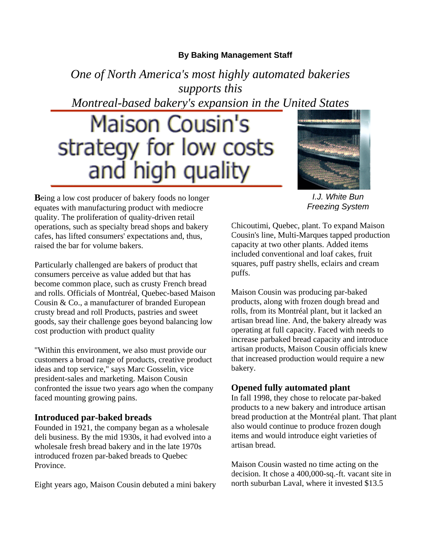## **By Baking Management Staff**

*One of North America's most highly automated bakeries supports this Montreal-based bakery's expansion in the United States*

**Maison Cousin's** strategy for low costs and high quality



*I.J. White Bun Freezing System*

**B**eing a low cost producer of bakery foods no longer equates with manufacturing product with mediocre quality. The proliferation of quality-driven retail operations, such as specialty bread shops and bakery cafes, has lifted consumers' expectations and, thus, raised the bar for volume bakers.

Particularly challenged are bakers of product that consumers perceive as value added but that has become common place, such as crusty French bread and rolls. Officials of Montréal, Quebec-based Maison Cousin & Co., a manufacturer of branded European crusty bread and roll Products, pastries and sweet goods, say their challenge goes beyond balancing low cost production with product quality

"Within this environment, we also must provide our customers a broad range of products, creative product ideas and top service," says Marc Gosselin, vice president-sales and marketing. Maison Cousin confronted the issue two years ago when the company faced mounting growing pains.

#### **Introduced par-baked breads**

Founded in 1921, the company began as a wholesale deli business. By the mid 1930s, it had evolved into a wholesale fresh bread bakery and in the late 1970s introduced frozen par-baked breads to Quebec Province.

Eight years ago, Maison Cousin debuted a mini bakery

Chicoutimi, Quebec, plant. To expand Maison Cousin's line, Multi-Marques tapped production capacity at two other plants. Added items included conventional and loaf cakes, fruit squares, puff pastry shells, eclairs and cream puffs.

Maison Cousin was producing par-baked products, along with frozen dough bread and rolls, from its Montréal plant, but it lacked an artisan bread line. And, the bakery already was operating at full capacity. Faced with needs to increase parbaked bread capacity and introduce artisan products, Maison Cousin officials knew that increased production would require a new bakery.

## **Opened fully automated plant**

In fall 1998, they chose to relocate par-baked products to a new bakery and introduce artisan bread production at the Montréal plant. That plant also would continue to produce frozen dough items and would introduce eight varieties of artisan bread.

Maison Cousin wasted no time acting on the decision. It chose a 400,000-sq.-ft. vacant site in north suburban Laval, where it invested \$13.5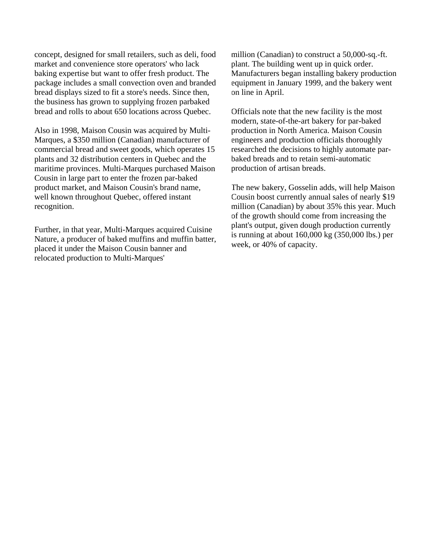concept, designed for small retailers, such as deli, food market and convenience store operators' who lack baking expertise but want to offer fresh product. The package includes a small convection oven and branded bread displays sized to fit a store's needs. Since then, the business has grown to supplying frozen parbaked bread and rolls to about 650 locations across Quebec.

Also in 1998, Maison Cousin was acquired by Multi-Marques, a \$350 million (Canadian) manufacturer of commercial bread and sweet goods, which operates 15 plants and 32 distribution centers in Quebec and the maritime provinces. Multi-Marques purchased Maison Cousin in large part to enter the frozen par-baked product market, and Maison Cousin's brand name, well known throughout Quebec, offered instant recognition.

Further, in that year, Multi-Marques acquired Cuisine Nature, a producer of baked muffins and muffin batter, placed it under the Maison Cousin banner and relocated production to Multi-Marques'

million (Canadian) to construct a 50,000-sq.-ft. plant. The building went up in quick order. Manufacturers began installing bakery production equipment in January 1999, and the bakery went on line in April.

Officials note that the new facility is the most modern, state-of-the-art bakery for par-baked production in North America. Maison Cousin engineers and production officials thoroughly researched the decisions to highly automate parbaked breads and to retain semi-automatic production of artisan breads.

The new bakery, Gosselin adds, will help Maison Cousin boost currently annual sales of nearly \$19 million (Canadian) by about 35% this year. Much of the growth should come from increasing the plant's output, given dough production currently is running at about 160,000 kg (350,000 lbs.) per week, or 40% of capacity.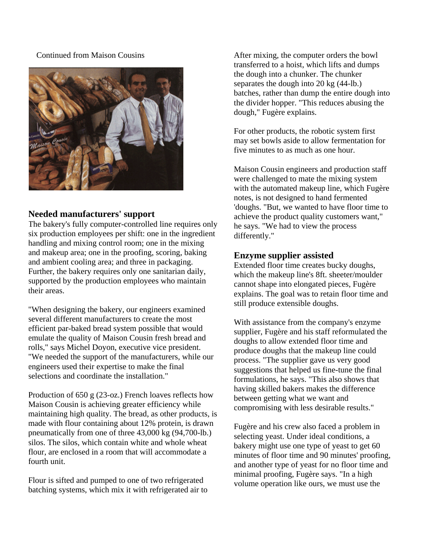Continued from Maison Cousins



## **Needed manufacturers' support**

The bakery's fully computer-controlled line requires only six production employees per shift: one in the ingredient handling and mixing control room; one in the mixing and makeup area; one in the proofing, scoring, baking and ambient cooling area; and three in packaging. Further, the bakery requires only one sanitarian daily, supported by the production employees who maintain their areas.

"When designing the bakery, our engineers examined several different manufacturers to create the most efficient par-baked bread system possible that would emulate the quality of Maison Cousin fresh bread and rolls," says Michel Doyon, executive vice president. "We needed the support of the manufacturers, while our engineers used their expertise to make the final selections and coordinate the installation."

Production of 650 g (23-oz.) French loaves reflects how Maison Cousin is achieving greater efficiency while maintaining high quality. The bread, as other products, is made with flour containing about 12% protein, is drawn pneumatically from one of three 43,000 kg (94,700-lb.) silos. The silos, which contain white and whole wheat flour, are enclosed in a room that will accommodate a fourth unit.

Flour is sifted and pumped to one of two refrigerated batching systems, which mix it with refrigerated air to After mixing, the computer orders the bowl transferred to a hoist, which lifts and dumps the dough into a chunker. The chunker separates the dough into 20 kg (44-lb.) batches, rather than dump the entire dough into the divider hopper. "This reduces abusing the dough," Fugère explains.

For other products, the robotic system first may set bowls aside to allow fermentation for five minutes to as much as one hour.

Maison Cousin engineers and production staff were challenged to mate the mixing system with the automated makeup line, which Fugère notes, is not designed to hand fermented 'doughs. "But, we wanted to have floor time to achieve the product quality customers want," he says. "We had to view the process differently."

## **Enzyme supplier assisted**

Extended floor time creates bucky doughs, which the makeup line's 8ft. sheeter/moulder cannot shape into elongated pieces, Fugère explains. The goal was to retain floor time and still produce extensible doughs.

With assistance from the company's enzyme supplier, Fugère and his staff reformulated the doughs to allow extended floor time and produce doughs that the makeup line could process. "The supplier gave us very good suggestions that helped us fine-tune the final formulations, he says. "This also shows that having skilled bakers makes the difference between getting what we want and compromising with less desirable results."

Fugère and his crew also faced a problem in selecting yeast. Under ideal conditions, a bakery might use one type of yeast to get 60 minutes of floor time and 90 minutes' proofing, and another type of yeast for no floor time and minimal proofing, Fugère says. "In a high volume operation like ours, we must use the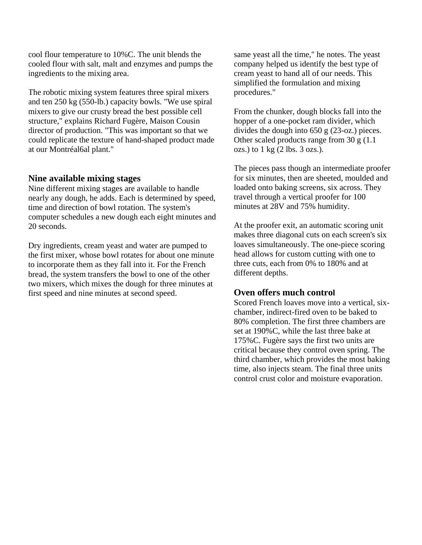cool flour temperature to 10%C. The unit blends the cooled flour with salt, malt and enzymes and pumps the ingredients to the mixing area.

The robotic mixing system features three spiral mixers and ten 250 kg (550-lb.) capacity bowls. "We use spiral mixers to give our crusty bread the best possible cell structure," explains Richard Fugère, Maison Cousin director of production. "This was important so that we could replicate the texture of hand-shaped product made at our Montréal6al plant."

## **Nine available mixing stages**

Nine different mixing stages are available to handle nearly any dough, he adds. Each is determined by speed, time and direction of bowl rotation. The system's computer schedules a new dough each eight minutes and 20 seconds.

Dry ingredients, cream yeast and water are pumped to the first mixer, whose bowl rotates for about one minute to incorporate them as they fall into it. For the French bread, the system transfers the bowl to one of the other two mixers, which mixes the dough for three minutes at first speed and nine minutes at second speed.

same yeast all the time," he notes. The yeast company helped us identify the best type of cream yeast to hand all of our needs. This simplified the formulation and mixing procedures."

From the chunker, dough blocks fall into the hopper of a one-pocket ram divider, which divides the dough into 650 g (23-oz.) pieces. Other scaled products range from 30 g (1.1 ozs.) to 1 kg (2 lbs. 3 ozs.).

The pieces pass though an intermediate proofer for six minutes, then are sheeted, moulded and loaded onto baking screens, six across. They travel through a vertical proofer for 100 minutes at 28V and 75% humidity.

At the proofer exit, an automatic scoring unit makes three diagonal cuts on each screen's six loaves simultaneously. The one-piece scoring head allows for custom cutting with one to three cuts, each from 0% to 180% and at different depths.

# **Oven offers much control**

Scored French loaves move into a vertical, sixchamber, indirect-fired oven to be baked to 80% completion. The first three chambers are set at 190%C, while the last three bake at 175%C. Fugère says the first two units are critical because they control oven spring. The third chamber, which provides the most baking time, also injects steam. The final three units control crust color and moisture evaporation.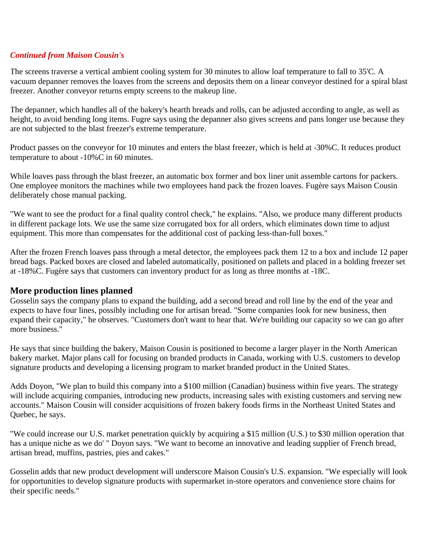## *Continued from Maison Cousin's*

The screens traverse a vertical ambient cooling system for 30 minutes to allow loaf temperature to fall to 35'C. A vacuum depanner removes the loaves from the screens and deposits them on a linear conveyor destined for a spiral blast freezer. Another conveyor returns empty screens to the makeup line.

The depanner, which handles all of the bakery's hearth breads and rolls, can be adjusted according to angle, as well as height, to avoid bending long items. Fugre says using the depanner also gives screens and pans longer use because they are not subjected to the blast freezer's extreme temperature.

Product passes on the conveyor for 10 minutes and enters the blast freezer, which is held at -30%C. It reduces product temperature to about -10%C in 60 minutes.

While loaves pass through the blast freezer, an automatic box former and box liner unit assemble cartons for packers. One employee monitors the machines while two employees hand pack the frozen loaves. Fugère says Maison Cousin deliberately chose manual packing.

"We want to see the product for a final quality control check," he explains. "Also, we produce many different products in different package lots. We use the same size corrugated box for all orders, which eliminates down time to adjust equipment. This more than compensates for the additional cost of packing less-than-full boxes."

After the frozen French loaves pass through a metal detector, the employees pack them 12 to a box and include 12 paper bread bags. Packed boxes are closed and labeled automatically, positioned on pallets and placed in a holding freezer set at -18%C. Fugère says that customers can inventory product for as long as three months at -18C.

## **More production lines planned**

Gosselin says the company plans to expand the building, add a second bread and roll line by the end of the year and expects to have four lines, possibly including one for artisan bread. "Some companies look for new business, then expand their capacity," he observes. "Customers don't want to hear that. We're building our capacity so we can go after more business."

He says that since building the bakery, Maison Cousin is positioned to become a larger player in the North American bakery market. Major plans call for focusing on branded products in Canada, working with U.S. customers to develop signature products and developing a licensing program to market branded product in the United States.

Adds Doyon, "We plan to build this company into a \$100 million (Canadian) business within five years. The strategy will include acquiring companies, introducing new products, increasing sales with existing customers and serving new accounts." Maison Cousin will consider acquisitions of frozen bakery foods firms in the Northeast United States and Quebec, he says.

"We could increase our U.S. market penetration quickly by acquiring a \$15 million (U.S.) to \$30 million operation that has a unique niche as we do' " Doyon says. "We want to become an innovative and leading supplier of French bread, artisan bread, muffins, pastries, pies and cakes."

Gosselin adds that new product development will underscore Maison Cousin's U.S. expansion. "We especially will look for opportunities to develop signature products with supermarket in-store operators and convenience store chains for their specific needs."